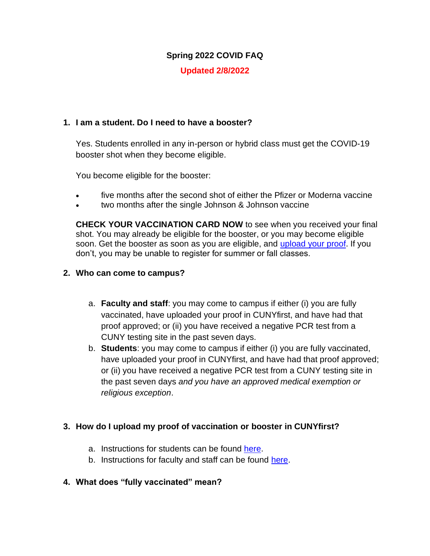# **Spring 2022 COVID FAQ**

# **Updated 2/8/2022**

#### **1. I am a student. Do I need to have a booster?**

Yes. Students enrolled in any in-person or hybrid class must get the COVID-19 booster shot when they become eligible.

You become eligible for the booster:

- five months after the second shot of either the Pfizer or Moderna vaccine
- two months after the single Johnson & Johnson vaccine

**CHECK YOUR VACCINATION CARD NOW** to see when you received your final shot. You may already be eligible for the booster, or you may become eligible soon. Get the booster as soon as you are eligible, and [upload your proof.](https://cunyithelp.cuny.edu/sp?id=kb_article_view&sysparm_article=KB0012414&sys_kb_id=8837c4341b8dc1906f9821be6e4bcb53) If you don't, you may be unable to register for summer or fall classes.

### **2. Who can come to campus?**

- a. **Faculty and staff**: you may come to campus if either (i) you are fully vaccinated, have uploaded your proof in CUNYfirst, and have had that proof approved; or (ii) you have received a negative PCR test from a CUNY testing site in the past seven days.
- b. **Students**: you may come to campus if either (i) you are fully vaccinated, have uploaded your proof in CUNYfirst, and have had that proof approved; or (ii) you have received a negative PCR test from a CUNY testing site in the past seven days *and you have an approved medical exemption or religious exception*.

# **3. How do I upload my proof of vaccination or booster in CUNYfirst?**

- a. Instructions for students can be found [here.](https://cunyithelp.cuny.edu/sp?id=kb_article_view&sysparm_article=KB0012414&sys_kb_id=8837c4341b8dc1906f9821be6e4bcb53)
- b. Instructions for faculty and staff can be found [here.](https://cunyithelp.cuny.edu/sp?id=kb_article_view&sysparm_article=KB0012417&sys_kb_id=a255855d1b69b8103302fe60cd4bcba3)

# **4. What does "fully vaccinated" mean?**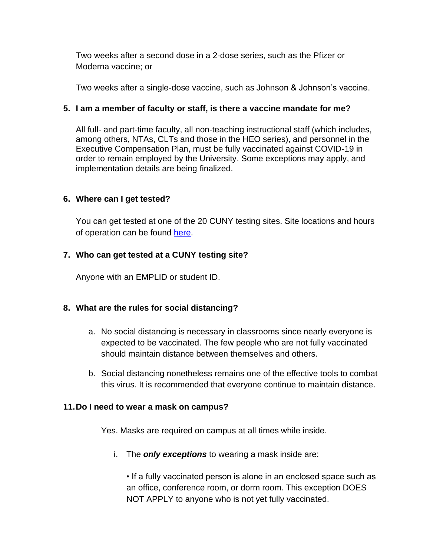Two weeks after a second dose in a 2-dose series, such as the Pfizer or Moderna vaccine; or

Two weeks after a single-dose vaccine, such as Johnson & Johnson's vaccine.

### **5. I am a member of faculty or staff, is there a vaccine mandate for me?**

All full- and part-time faculty, all non-teaching instructional staff (which includes, among others, NTAs, CLTs and those in the HEO series), and personnel in the Executive Compensation Plan, must be fully vaccinated against COVID-19 in order to remain employed by the University. Some exceptions may apply, and implementation details are being finalized.

### **6. Where can I get tested?**

You can get tested at one of the 20 CUNY testing sites. Site locations and hours of operation can be found [here.](https://www.cuny.edu/coronavirus/cuny-covid-19-testing-site-locations/)

# **7. Who can get tested at a CUNY testing site?**

Anyone with an EMPLID or student ID.

#### **8. What are the rules for social distancing?**

- a. No social distancing is necessary in classrooms since nearly everyone is expected to be vaccinated. The few people who are not fully vaccinated should maintain distance between themselves and others.
- b. Social distancing nonetheless remains one of the effective tools to combat this virus. It is recommended that everyone continue to maintain distance.

#### **11.Do I need to wear a mask on campus?**

Yes. Masks are required on campus at all times while inside.

i. The *only exceptions* to wearing a mask inside are:

• If a fully vaccinated person is alone in an enclosed space such as an office, conference room, or dorm room. This exception DOES NOT APPLY to anyone who is not yet fully vaccinated.